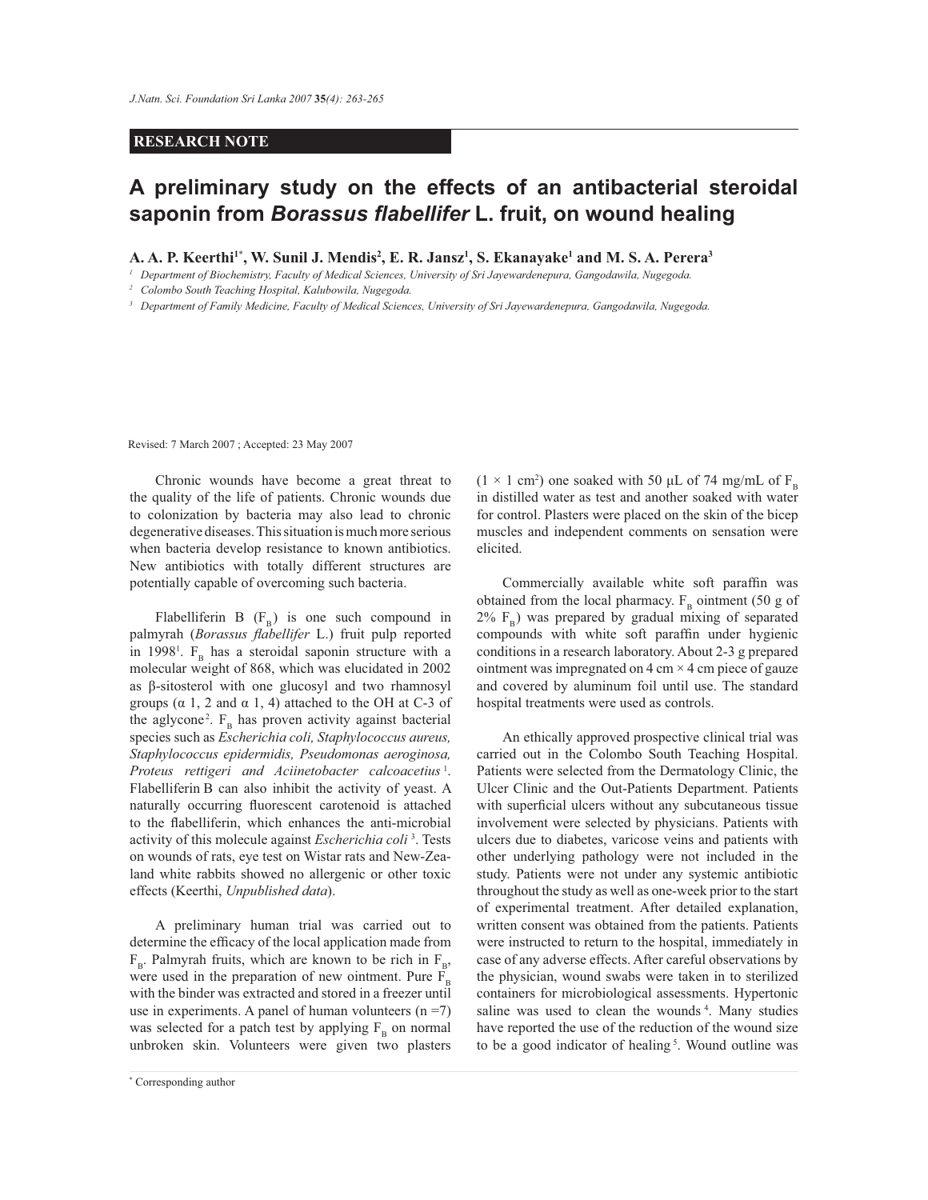## **RESEARCH NOTE**

## **A preliminary study on the effects of an antibacterial steroidal saponin from** *Borassus flabellifer* **L. fruit, on wound healing**

**A. A. P. Keerthi1\*, W. Sunil J. Mendis<sup>2</sup> , E. R. Jansz<sup>1</sup> , S. Ekanayake<sup>1</sup> and M. S. A. Perera<sup>3</sup>**

<sup>1</sup> Department of Biochemistry, Faculty of Medical Sciences, University of Sri Jayewardenepura, Gangodawila, Nugegoda.

*<sup>2</sup>Colombo South Teaching Hospital, Kalubowila, Nugegoda.*

<sup>3</sup> Department of Family Medicine, Faculty of Medical Sciences, University of Sri Jayewardenepura, Gangodawila, Nugegoda.

Revised: 7 March 2007 ; Accepted: 23 May 2007

 Chronic wounds have become a great threat to the quality of the life of patients. Chronic wounds due to colonization by bacteria may also lead to chronic degenerative diseases. This situation is much more serious when bacteria develop resistance to known antibiotics. New antibiotics with totally different structures are potentially capable of overcoming such bacteria.

Flabelliferin B  $(F_B)$  is one such compound in palmyrah (*Borassus flabellifer* L.) fruit pulp reported in 1998<sup>1</sup>.  $F_B$  has a steroidal saponin structure with a molecular weight of 868, which was elucidated in 2002 as β-sitosterol with one glucosyl and two rhamnosyl groups ( $\alpha$  1, 2 and  $\alpha$  1, 4) attached to the OH at C-3 of the aglycone<sup>2</sup>.  $F_B$  has proven activity against bacterial species such as *Escherichia coli, Staphylococcus aureus, Staphylococcus epidermidis, Pseudomonas aeroginosa,*  Proteus rettigeri and Aciinetobacter calcoacetius<sup>1</sup>. Flabelliferin B can also inhibit the activity of yeast. A naturally occurring fluorescent carotenoid is attached to the flabelliferin, which enhances the anti-microbial activity of this molecule against *Escherichia coli*  3 . Tests on wounds of rats, eye test on Wistar rats and New-Zealand white rabbits showed no allergenic or other toxic effects (Keerthi, *Unpublished data*).

 A preliminary human trial was carried out to determine the efficacy of the local application made from  $F_B$ . Palmyrah fruits, which are known to be rich in  $F_B$ , were used in the preparation of new ointment. Pure F with the binder was extracted and stored in a freezer until use in experiments. A panel of human volunteers  $(n = 7)$ was selected for a patch test by applying  $F_B$  on normal unbroken skin. Volunteers were given two plasters

( $1 \times 1$  cm<sup>2</sup>) one soaked with 50 µL of 74 mg/mL of  $F_B$ in distilled water as test and another soaked with water for control. Plasters were placed on the skin of the bicep muscles and independent comments on sensation were elicited.

 Commercially available white soft paraffin was obtained from the local pharmacy.  $F_B$  ointment (50 g of  $2\%$   $F_B$ ) was prepared by gradual mixing of separated compounds with white soft paraffin under hygienic conditions in a research laboratory. About 2-3 g prepared ointment was impregnated on  $4 \text{ cm} \times 4 \text{ cm}$  piece of gauze and covered by aluminum foil until use. The standard hospital treatments were used as controls.

 An ethically approved prospective clinical trial was carried out in the Colombo South Teaching Hospital. Patients were selected from the Dermatology Clinic, the Ulcer Clinic and the Out-Patients Department. Patients with superficial ulcers without any subcutaneous tissue involvement were selected by physicians. Patients with ulcers due to diabetes, varicose veins and patients with other underlying pathology were not included in the study. Patients were not under any systemic antibiotic throughout the study as well as one-week prior to the start of experimental treatment. After detailed explanation, written consent was obtained from the patients. Patients were instructed to return to the hospital, immediately in case of any adverse effects. After careful observations by the physician, wound swabs were taken in to sterilized containers for microbiological assessments. Hypertonic saline was used to clean the wounds<sup>4</sup>. Many studies have reported the use of the reduction of the wound size to be a good indicator of healing<sup>5</sup>. Wound outline was

*Journal of the National Science Foundation of Sri Lanka 35 (4) December 2007* \* Corresponding author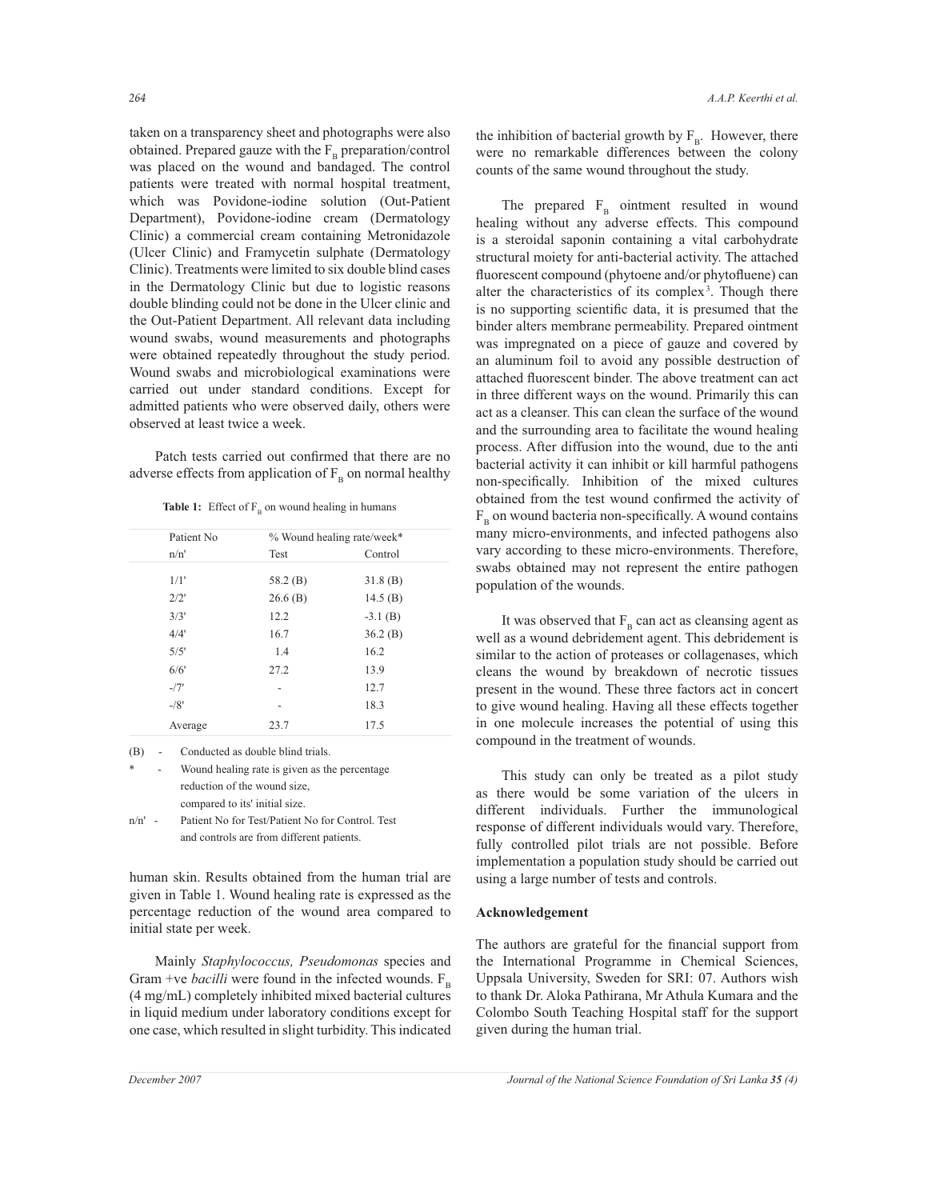taken on a transparency sheet and photographs were also obtained. Prepared gauze with the  $F_B$  preparation/control was placed on the wound and bandaged. The control patients were treated with normal hospital treatment, which was Povidone-iodine solution (Out-Patient Department), Povidone-iodine cream (Dermatology Clinic) a commercial cream containing Metronidazole (Ulcer Clinic) and Framycetin sulphate (Dermatology Clinic). Treatments were limited to six double blind cases in the Dermatology Clinic but due to logistic reasons double blinding could not be done in the Ulcer clinic and the Out-Patient Department. All relevant data including wound swabs, wound measurements and photographs were obtained repeatedly throughout the study period. Wound swabs and microbiological examinations were carried out under standard conditions. Except for admitted patients who were observed daily, others were observed at least twice a week.

 Patch tests carried out confirmed that there are no adverse effects from application of  $F_B$  on normal healthy

**Table 1:** Effect of  $F_B$  on wound healing in humans

| Patient No.<br>n/n' | % Wound healing rate/week* |            |
|---------------------|----------------------------|------------|
|                     | Test                       | Control    |
| 1/1'                | 58.2 (B)                   | 31.8(B)    |
| 2/2'                | 26.6(B)                    | 14.5 $(B)$ |
| 3/3'                | 12.2                       | $-3.1$ (B) |
| 4/4'                | 16.7                       | 36.2(B)    |
| 5/5'                | 1.4                        | 16.2       |
| 6/6'                | 27.2                       | 13.9       |
| $-77'$              |                            | 12.7       |
| $-78'$              |                            | 18.3       |
| Average             | 23.7                       | 17.5       |

(B) - Conducted as double blind trials.

Wound healing rate is given as the percentage reduction of the wound size, compared to its' initial size. n/n' - Patient No for Test/Patient No for Control. Test and controls are from different patients.

human skin. Results obtained from the human trial are given in Table 1. Wound healing rate is expressed as the percentage reduction of the wound area compared to initial state per week.

 Mainly *Staphylococcus, Pseudomonas* species and Gram +ve *bacilli* were found in the infected wounds.  $F_{\text{B}}$ (4 mg/mL) completely inhibited mixed bacterial cultures in liquid medium under laboratory conditions except for one case, which resulted in slight turbidity. This indicated

the inhibition of bacterial growth by  $F_B$ . However, there were no remarkable differences between the colony counts of the same wound throughout the study.

The prepared  $F_B$  ointment resulted in wound healing without any adverse effects. This compound is a steroidal saponin containing a vital carbohydrate structural moiety for anti-bacterial activity. The attached fluorescent compound (phytoene and/or phytofluene) can alter the characteristics of its complex<sup>3</sup>. Though there is no supporting scientific data, it is presumed that the binder alters membrane permeability. Prepared ointment was impregnated on a piece of gauze and covered by an aluminum foil to avoid any possible destruction of attached fluorescent binder. The above treatment can act in three different ways on the wound. Primarily this can act as a cleanser. This can clean the surface of the wound and the surrounding area to facilitate the wound healing process. After diffusion into the wound, due to the anti bacterial activity it can inhibit or kill harmful pathogens non-specifically. Inhibition of the mixed cultures obtained from the test wound confirmed the activity of  $F_B$  on wound bacteria non-specifically. A wound contains many micro-environments, and infected pathogens also vary according to these micro-environments. Therefore, swabs obtained may not represent the entire pathogen population of the wounds.

It was observed that  $F_B$  can act as cleansing agent as well as a wound debridement agent. This debridement is similar to the action of proteases or collagenases, which cleans the wound by breakdown of necrotic tissues present in the wound. These three factors act in concert to give wound healing. Having all these effects together in one molecule increases the potential of using this compound in the treatment of wounds.

 This study can only be treated as a pilot study as there would be some variation of the ulcers in different individuals. Further the immunological response of different individuals would vary. Therefore, fully controlled pilot trials are not possible. Before implementation a population study should be carried out using a large number of tests and controls.

## **Acknowledgement**

The authors are grateful for the financial support from the International Programme in Chemical Sciences, Uppsala University, Sweden for SRI: 07. Authors wish to thank Dr. Aloka Pathirana, Mr Athula Kumara and the Colombo South Teaching Hospital staff for the support given during the human trial.